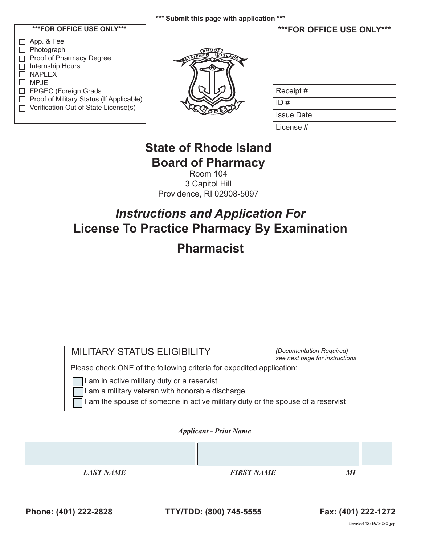#### **\*\*\* Submit this page with application \*\*\***

### **\*\*\*FOR OFFICE USE ONLY\*\*\***

| $\Box$ App. & Fee                          |
|--------------------------------------------|
| $\Box$ Photograph                          |
| Proof of Pharmacy Degree                   |
| $\Box$ Internship Hours                    |
| $\Box$ NAPLEX                              |
| l I MP.IF                                  |
| □ FPGEC (Foreign Grads                     |
| □ Proof of Military Status (If Applicable) |
| □ Verification Out of State License(s)     |
|                                            |



| ***FOR OFFICE USE ONLY*** |  |
|---------------------------|--|
| Receipt#                  |  |
| ID#                       |  |
| <b>Issue Date</b>         |  |
| License #                 |  |

# **State of Rhode Island Board of Pharmacy**

Room 104 3 Capitol Hill Providence, RI 02908-5097

# *Instructions and Application For* **License To Practice Pharmacy By Examination Pharmacist**

| <b>MILITARY STATUS ELIGIBILITY</b><br>(Documentation Required)<br>see next page for instructions                                                                                   |  |  |
|------------------------------------------------------------------------------------------------------------------------------------------------------------------------------------|--|--|
| Please check ONE of the following criteria for expedited application:                                                                                                              |  |  |
| I am in active military duty or a reservist<br>I am a military veteran with honorable discharge<br>I am the spouse of someone in active military duty or the spouse of a reservist |  |  |
| <b>Applicant - Print Name</b>                                                                                                                                                      |  |  |
|                                                                                                                                                                                    |  |  |

*LAST NAME FIRST NAME MI*

**Phone: (401) 222-2828 TTY/TDD: (800) 745-5555 Fax: (401) 222-1272**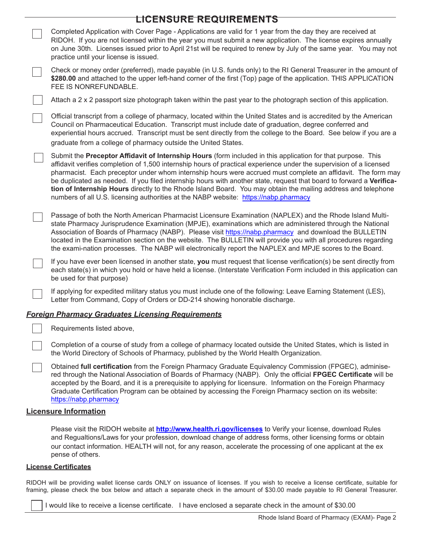| <b>LICENSURE REQUIREMENTS</b>                                                                                                                                                                                                                                                                                                                                                                                                                                                                                                                                                                                                                                                        |
|--------------------------------------------------------------------------------------------------------------------------------------------------------------------------------------------------------------------------------------------------------------------------------------------------------------------------------------------------------------------------------------------------------------------------------------------------------------------------------------------------------------------------------------------------------------------------------------------------------------------------------------------------------------------------------------|
| Completed Application with Cover Page - Applications are valid for 1 year from the day they are received at<br>RIDOH. If you are not licensed within the year you must submit a new application. The license expires annually<br>on June 30th. Licenses issued prior to April 21st will be required to renew by July of the same year. You may not<br>practice until your license is issued.                                                                                                                                                                                                                                                                                         |
| Check or money order (preferred), made payable (in U.S. funds only) to the RI General Treasurer in the amount of<br>\$280.00 and attached to the upper left-hand corner of the first (Top) page of the application. THIS APPLICATION<br>FEE IS NONREFUNDABLE.                                                                                                                                                                                                                                                                                                                                                                                                                        |
| Attach a 2 x 2 passport size photograph taken within the past year to the photograph section of this application.                                                                                                                                                                                                                                                                                                                                                                                                                                                                                                                                                                    |
| Official transcript from a college of pharmacy, located within the United States and is accredited by the American<br>Council on Pharmaceutical Education. Transcript must include date of graduation, degree conferred and<br>experiential hours accrued. Transcript must be sent directly from the college to the Board. See below if you are a<br>graduate from a college of pharmacy outside the United States.                                                                                                                                                                                                                                                                  |
| Submit the Preceptor Affidavit of Internship Hours (form included in this application for that purpose. This<br>affidavit verifies completion of 1,500 internship hours of practical experience under the supervision of a licensed<br>pharmacist. Each preceptor under whom internship hours were accrued must complete an affidavit. The form may<br>be duplicated as needed. If you filed internship hours with another state, request that board to forward a Verifica-<br>tion of Internship Hours directly to the Rhode Island Board. You may obtain the mailing address and telephone<br>numbers of all U.S. licensing authorities at the NABP website: https://nabp.pharmacy |
| Passage of both the North American Pharmacist Licensure Examination (NAPLEX) and the Rhode Island Multi-<br>state Pharmacy Jurisprudence Examination (MPJE), examinations which are administered through the National<br>Association of Boards of Pharmacy (NABP). Please visit https://nabp.pharmacy and download the BULLETIN<br>located in the Examination section on the website. The BULLETIN will provide you with all procedures regarding<br>the exami-nation processes. The NABP will electronically report the NAPLEX and MPJE scores to the Board.                                                                                                                        |
| If you have ever been licensed in another state, you must request that license verification(s) be sent directly from<br>each state(s) in which you hold or have held a license. (Interstate Verification Form included in this application can<br>be used for that purpose)                                                                                                                                                                                                                                                                                                                                                                                                          |
| If applying for expedited military status you must include one of the following: Leave Earning Statement (LES),<br>Letter from Command, Copy of Orders or DD-214 showing honorable discharge.                                                                                                                                                                                                                                                                                                                                                                                                                                                                                        |
| <b>Foreign Pharmacy Graduates Licensing Requirements</b>                                                                                                                                                                                                                                                                                                                                                                                                                                                                                                                                                                                                                             |
| Requirements listed above,                                                                                                                                                                                                                                                                                                                                                                                                                                                                                                                                                                                                                                                           |
| Completion of a course of study from a college of pharmacy located outside the United States, which is listed in<br>the World Directory of Schools of Pharmacy, published by the World Health Organization.                                                                                                                                                                                                                                                                                                                                                                                                                                                                          |
| Obtained full certification from the Foreign Pharmacy Graduate Equivalency Commission (FPGEC), adminise-<br>red through the National Association of Boards of Pharmacy (NABP). Only the official FPGEC Certificate will be<br>accepted by the Board, and it is a prerequisite to applying for licensure. Information on the Foreign Pharmacy<br>Graduate Certification Program can be obtained by accessing the Foreign Pharmacy section on its website:<br>https://nabp.pharmacy                                                                                                                                                                                                    |
| <b>Licensure Information</b>                                                                                                                                                                                                                                                                                                                                                                                                                                                                                                                                                                                                                                                         |

Please visit the RIDOH website at **http://www.health.ri.gov/licenses** to Verify your license, download Rules and Regualtions/Laws for your profession, download change of address forms, other licensing forms or obtain our contact information. HEALTH will not, for any reason, accelerate the processing of one applicant at the ex pense of others.

#### **License Certificates**

RIDOH will be providing wallet license cards ONLY on issuance of licenses. If you wish to receive a license certificate, suitable for framing, please check the box below and attach a separate check in the amount of \$30.00 made payable to RI General Treasurer.

I would like to receive a license certificate. I have enclosed a separate check in the amount of \$30.00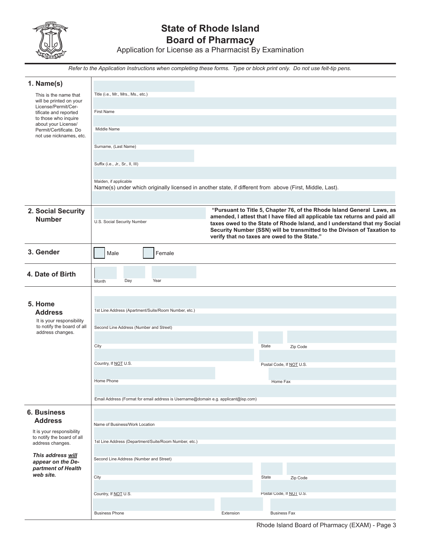

## **State of Rhode Island Board of Pharmacy**

Application for License as a Pharmacist By Examination

*Refer to the Application Instructions when completing these forms. Type or block print only. Do not use felt-tip pens.*

| 1. Name(s)                                              |                                                                                                                                   |                                              |                                                                                                                                                     |
|---------------------------------------------------------|-----------------------------------------------------------------------------------------------------------------------------------|----------------------------------------------|-----------------------------------------------------------------------------------------------------------------------------------------------------|
| This is the name that                                   | Title (i.e., Mr., Mrs., Ms., etc.)                                                                                                |                                              |                                                                                                                                                     |
| will be printed on your<br>License/Permit/Cer-          |                                                                                                                                   |                                              |                                                                                                                                                     |
| tificate and reported<br>to those who inquire           | <b>First Name</b>                                                                                                                 |                                              |                                                                                                                                                     |
| about your License/                                     | Middle Name                                                                                                                       |                                              |                                                                                                                                                     |
| Permit/Certificate. Do<br>not use nicknames, etc.       |                                                                                                                                   |                                              |                                                                                                                                                     |
|                                                         | Surname, (Last Name)                                                                                                              |                                              |                                                                                                                                                     |
|                                                         |                                                                                                                                   |                                              |                                                                                                                                                     |
|                                                         | Suffix (i.e., Jr., Sr., II, III)                                                                                                  |                                              |                                                                                                                                                     |
|                                                         |                                                                                                                                   |                                              |                                                                                                                                                     |
|                                                         | Maiden, if applicable<br>Name(s) under which originally licensed in another state, if different from above (First, Middle, Last). |                                              |                                                                                                                                                     |
|                                                         |                                                                                                                                   |                                              |                                                                                                                                                     |
|                                                         |                                                                                                                                   |                                              | "Pursuant to Title 5, Chapter 76, of the Rhode Island General Laws, as                                                                              |
| 2. Social Security<br><b>Number</b>                     |                                                                                                                                   |                                              | amended, I attest that I have filed all applicable tax returns and paid all                                                                         |
|                                                         | U.S. Social Security Number                                                                                                       |                                              | taxes owed to the State of Rhode Island, and I understand that my Social<br>Security Number (SSN) will be transmitted to the Divison of Taxation to |
|                                                         |                                                                                                                                   | verify that no taxes are owed to the State." |                                                                                                                                                     |
| 3. Gender                                               |                                                                                                                                   |                                              |                                                                                                                                                     |
|                                                         | Male<br>Female                                                                                                                    |                                              |                                                                                                                                                     |
|                                                         |                                                                                                                                   |                                              |                                                                                                                                                     |
| 4. Date of Birth                                        | Day<br>Year<br>Month                                                                                                              |                                              |                                                                                                                                                     |
|                                                         |                                                                                                                                   |                                              |                                                                                                                                                     |
| 5. Home                                                 |                                                                                                                                   |                                              |                                                                                                                                                     |
| <b>Address</b>                                          | 1st Line Address (Apartment/Suite/Room Number, etc.)                                                                              |                                              |                                                                                                                                                     |
| It is your responsibility                               |                                                                                                                                   |                                              |                                                                                                                                                     |
| to notify the board of all<br>address changes.          | Second Line Address (Number and Street)                                                                                           |                                              |                                                                                                                                                     |
|                                                         |                                                                                                                                   |                                              |                                                                                                                                                     |
|                                                         | City                                                                                                                              | State                                        | Zip Code                                                                                                                                            |
|                                                         | Country, If NOT U.S.                                                                                                              |                                              | Postal Code, If NOT U.S.                                                                                                                            |
|                                                         |                                                                                                                                   |                                              |                                                                                                                                                     |
|                                                         | Home Phone                                                                                                                        |                                              | Home Fax                                                                                                                                            |
|                                                         |                                                                                                                                   |                                              |                                                                                                                                                     |
|                                                         | Email Address (Format for email address is Username@domain e.g. applicant@isp.com)                                                |                                              |                                                                                                                                                     |
| <b>6. Business</b>                                      |                                                                                                                                   |                                              |                                                                                                                                                     |
| <b>Address</b>                                          | Name of Business/Work Location                                                                                                    |                                              |                                                                                                                                                     |
| It is your responsibility<br>to notify the board of all |                                                                                                                                   |                                              |                                                                                                                                                     |
| address changes.                                        | 1st Line Address (Department/Suite/Room Number, etc.)                                                                             |                                              |                                                                                                                                                     |
| This address will                                       |                                                                                                                                   |                                              |                                                                                                                                                     |
| appear on the De-                                       | Second Line Address (Number and Street)                                                                                           |                                              |                                                                                                                                                     |
| partment of Health<br>web site.                         | City                                                                                                                              | State                                        |                                                                                                                                                     |
|                                                         |                                                                                                                                   |                                              | Zip Code                                                                                                                                            |
|                                                         | Country, If NOT U.S.                                                                                                              |                                              | Postal Code, If NOT U.S.                                                                                                                            |
|                                                         |                                                                                                                                   |                                              |                                                                                                                                                     |
|                                                         | <b>Business Phone</b>                                                                                                             | Extension                                    | <b>Business Fax</b>                                                                                                                                 |

Rhode Island Board of Pharmacy (EXAM) - Page 3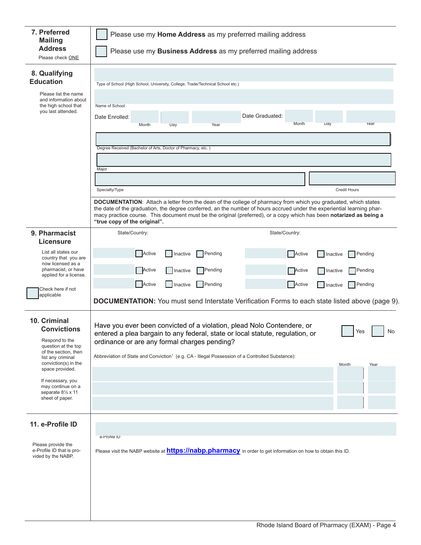| 7. Preferred<br><b>Mailing</b><br><b>Address</b><br>Please check ONE                                                                                                                                                                                   | Please use my Home Address as my preferred mailing address<br>Please use my Business Address as my preferred mailing address                                                                                                                                                                                                                                                                                                                                                                                      |  |  |  |
|--------------------------------------------------------------------------------------------------------------------------------------------------------------------------------------------------------------------------------------------------------|-------------------------------------------------------------------------------------------------------------------------------------------------------------------------------------------------------------------------------------------------------------------------------------------------------------------------------------------------------------------------------------------------------------------------------------------------------------------------------------------------------------------|--|--|--|
| 8. Qualifying<br><b>Education</b><br>Please list the name<br>and information about<br>the high school that<br>you last attended.                                                                                                                       | Type of School (High School, University, College, Trade/Technical School etc.)<br>Name of School<br>Date Graduated:<br>Date Enrolled:<br>Month<br>Day<br>Year<br>Month<br>Year<br>Day                                                                                                                                                                                                                                                                                                                             |  |  |  |
|                                                                                                                                                                                                                                                        | Degree Received (Bachelor of Arts, Doctor of Pharmacy, etc.)<br>Major<br><b>Credit Hours</b><br>Specialty/Type<br>DOCUMENTATION: Attach a letter from the dean of the college of pharmacy from which you graduated, which states<br>the date of the graduation, the degree conferred, an the number of hours accrued under the experiential learning phar-<br>macy practice course. This document must be the original (preferred), or a copy which has been notarized as being a<br>"true copy of the original". |  |  |  |
| 9. Pharmacist<br><b>Licensure</b><br>List all states our<br>country that you are<br>now licensed as a<br>pharmacist, or have<br>applied for a license.                                                                                                 | State/Country:<br>State/Country:<br>Active<br>$\bigcap$ Pending<br>Active<br>Pending<br>Inactive<br>Inactive<br>Active<br>Active<br>Pending<br>Pending<br>Inactive<br>Inactive<br>Active                                                                                                                                                                                                                                                                                                                          |  |  |  |
| Check here if not<br>applicable                                                                                                                                                                                                                        | Active<br>Inactive<br>Pending<br>Pending<br>Inactive<br><b>DOCUMENTATION:</b> You must send Interstate Verification Forms to each state listed above (page 9).                                                                                                                                                                                                                                                                                                                                                    |  |  |  |
| 10. Criminal<br><b>Convictions</b><br>Respond to the<br>question at the top<br>of the section, then<br>list any criminal<br>conviction(s) in the<br>space provided.<br>If necessary, you<br>may continue on a<br>separate 81/2 x 11<br>sheet of paper. | Have you ever been convicted of a violation, plead Nolo Contendere, or<br>Yes<br>No<br>entered a plea bargain to any federal, state or local statute, regulation, or<br>ordinance or are any formal charges pending?<br>Abbreviation of State and Conviction <sup>1</sup> (e.g. CA - Illegal Possession of a Controlled Substance):<br>Month<br>Year                                                                                                                                                              |  |  |  |
| 11. e-Profile ID<br>Please provide the<br>e-Profile ID that is pro-<br>vided by the NABP.                                                                                                                                                              | e-Profile ID<br>Please visit the NABP website at <b>https://nabp.pharmacy</b> in order to get information on how to obtain this ID.                                                                                                                                                                                                                                                                                                                                                                               |  |  |  |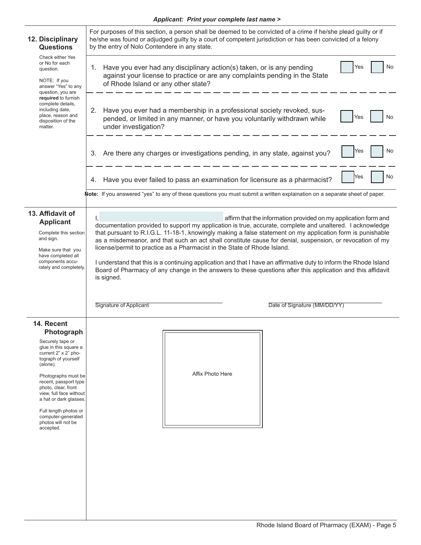| 12. Disciplinary<br><b>Questions</b>                                                                                                                                   | For purposes of this section, a person shall be deemed to be convicted of a crime if he/she plead guilty or if<br>he/she was found or adjudged guilty by a court of competent jurisdiction or has been convicted of a felony<br>by the entry of Nolo Contendere in any state.                                                                                                                                                                                                                                                                                                                                                                                                                                                                                                                                |  |  |  |
|------------------------------------------------------------------------------------------------------------------------------------------------------------------------|--------------------------------------------------------------------------------------------------------------------------------------------------------------------------------------------------------------------------------------------------------------------------------------------------------------------------------------------------------------------------------------------------------------------------------------------------------------------------------------------------------------------------------------------------------------------------------------------------------------------------------------------------------------------------------------------------------------------------------------------------------------------------------------------------------------|--|--|--|
| Check either Yes<br>or No for each<br>question.<br>NOTE: If you<br>answer "Yes" to any<br>question, you are                                                            | No<br>Have you ever had any disciplinary action(s) taken, or is any pending<br>Yes<br>1.<br>against your license to practice or are any complaints pending in the State<br>of Rhode Island or any other state?                                                                                                                                                                                                                                                                                                                                                                                                                                                                                                                                                                                               |  |  |  |
| required to furnish<br>complete details,<br>including date,<br>place, reason and<br>disposition of the<br>matter.                                                      | Have you ever had a membership in a professional society revoked, sus-<br>2.<br>No<br>Yes<br>pended, or limited in any manner, or have you voluntarily withdrawn while<br>under investigation?                                                                                                                                                                                                                                                                                                                                                                                                                                                                                                                                                                                                               |  |  |  |
|                                                                                                                                                                        | No<br>Yes<br>3. Are there any charges or investigations pending, in any state, against you?                                                                                                                                                                                                                                                                                                                                                                                                                                                                                                                                                                                                                                                                                                                  |  |  |  |
|                                                                                                                                                                        | No<br>Yes<br>4. Have you ever failed to pass an examination for licensure as a pharmacist?                                                                                                                                                                                                                                                                                                                                                                                                                                                                                                                                                                                                                                                                                                                   |  |  |  |
|                                                                                                                                                                        | Note: If you answered "yes" to any of these questions you must submit a written explaination on a separate sheet of paper.                                                                                                                                                                                                                                                                                                                                                                                                                                                                                                                                                                                                                                                                                   |  |  |  |
| 13. Affidavit of<br><b>Applicant</b><br>Complete this section<br>and sign.<br>Make sure that you<br>have completed all<br>components accu-<br>rately and completely.   | affirm that the information provided on my application form and<br>Ι,<br>documentation provided to support my application is true, accurate, complete and unaltered. I acknowledge<br>that pursuant to R.I.G.L. 11-18-1, knowingly making a false statement on my application form is punishable<br>as a misdemeanor, and that such an act shall constitute cause for denial, suspension, or revocation of my<br>license/permit to practice as a Pharmacist in the State of Rhode Island.<br>I understand that this is a continuing application and that I have an affirmative duty to inform the Rhode Island<br>Board of Pharmacy of any change in the answers to these questions after this application and this affidavit<br>is signed.<br><b>Signature of Applicant</b><br>Date of Signature (MM/DD/YY) |  |  |  |
|                                                                                                                                                                        |                                                                                                                                                                                                                                                                                                                                                                                                                                                                                                                                                                                                                                                                                                                                                                                                              |  |  |  |
| 14. Recent<br>Photograph                                                                                                                                               |                                                                                                                                                                                                                                                                                                                                                                                                                                                                                                                                                                                                                                                                                                                                                                                                              |  |  |  |
| Securely tape or<br>glue in this square a<br>current 2" x 2" pho-<br>tograph of yourself<br>(alone).<br>Photographs must be                                            | Affix Photo Here                                                                                                                                                                                                                                                                                                                                                                                                                                                                                                                                                                                                                                                                                                                                                                                             |  |  |  |
| recent, passport type<br>photo, clear, front<br>view, full face without<br>a hat or dark glasses.<br>Full length photos or<br>computer-generated<br>photos will not be |                                                                                                                                                                                                                                                                                                                                                                                                                                                                                                                                                                                                                                                                                                                                                                                                              |  |  |  |
| accepted.                                                                                                                                                              |                                                                                                                                                                                                                                                                                                                                                                                                                                                                                                                                                                                                                                                                                                                                                                                                              |  |  |  |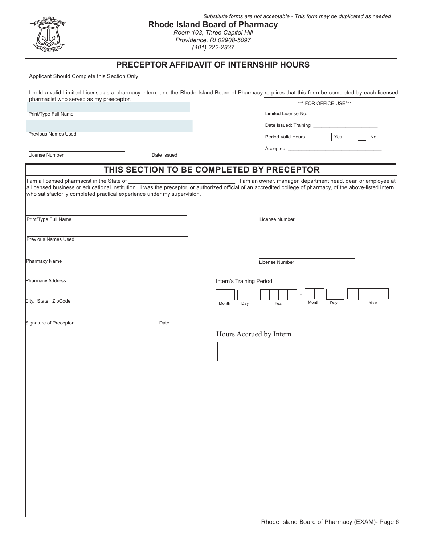| Η.,<br>$\widetilde{\mathcal{N}_{O}}$<br>m |
|-------------------------------------------|
|                                           |
|                                           |

#### **Rhode Island Board of Pharmacy** *Substitute forms are not acceptable - This form may be duplicated as needed .*

*Room 103, Three Capitol Hill Providence, RI 02908-5097 (401) 222-2837*

#### **PRECEPTOR AFFIDAVIT OF INTERNSHIP HOURS**

Applicant Should Complete this Section Only:

| I hold a valid Limited License as a pharmacy intern, and the Rhode Island Board of Pharmacy requires that this form be completed by each licensed |                       |  |
|---------------------------------------------------------------------------------------------------------------------------------------------------|-----------------------|--|
| pharmacist who served as my preeceptor.                                                                                                           | *** FOR OFFICE USE*** |  |

Limited License No. Date Issued: Training

Accepted:

Period Valid Hours **No. 1989** Yes No.

Print/Type Full Name

Previous Names Used

License Number Date Issued

# **THIS SECTION TO BE COMPLETED BY PRECEPTOR**

| who satisfactorily completed practical experience under my supervision. | I am a licensed pharmacist in the State of each of extending the preceptor, or authorized official of an accredited college of pharmacy, of the above-listed intern, a licensed business or educational institution. I was the |
|-------------------------------------------------------------------------|--------------------------------------------------------------------------------------------------------------------------------------------------------------------------------------------------------------------------------|
| Print/Type Full Name                                                    | License Number                                                                                                                                                                                                                 |
| Previous Names Used                                                     |                                                                                                                                                                                                                                |
| Pharmacy Name                                                           | License Number                                                                                                                                                                                                                 |
| <b>Pharmacy Address</b>                                                 | Intern's Training Period                                                                                                                                                                                                       |
| City, State, ZipCode                                                    | Month<br>Year<br>Day<br>Month<br>Day<br>Year                                                                                                                                                                                   |
| Signature of Preceptor<br>Date                                          | Hours Accrued by Intern                                                                                                                                                                                                        |